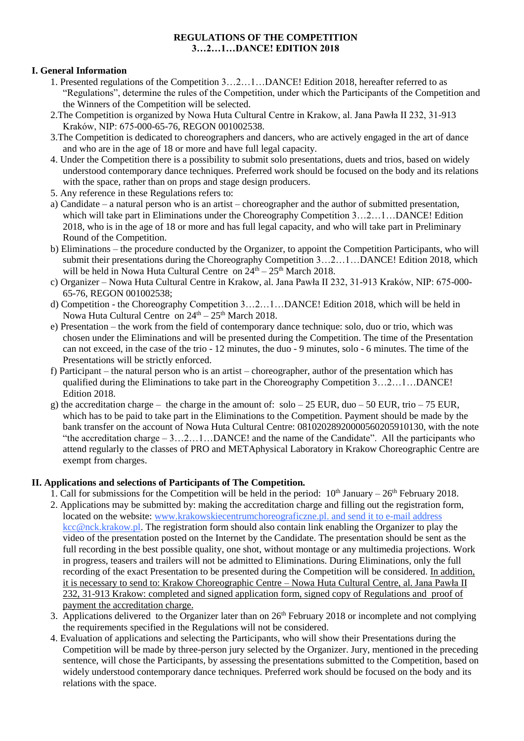### **REGULATIONS OF THE COMPETITION 3…2…1…DANCE! EDITION 2018**

## **I. General Information**

- 1. Presented regulations of the Competition 3…2…1…DANCE! Edition 2018, hereafter referred to as "Regulations", determine the rules of the Competition, under which the Participants of the Competition and the Winners of the Competition will be selected.
- 2.The Competition is organized by Nowa Huta Cultural Centre in Krakow, al. Jana Pawła II 232, 31-913 Kraków, NIP: 675-000-65-76, REGON 001002538.
- 3.The Competition is dedicated to choreographers and dancers, who are actively engaged in the art of dance and who are in the age of 18 or more and have full legal capacity.
- 4. Under the Competition there is a possibility to submit solo presentations, duets and trios, based on widely understood contemporary dance techniques. Preferred work should be focused on the body and its relations with the space, rather than on props and stage design producers.
- 5. Any reference in these Regulations refers to:
- a) Candidate a natural person who is an artist choreographer and the author of submitted presentation, which will take part in Eliminations under the Choreography Competition 3...2...1...DANCE! Edition 2018, who is in the age of 18 or more and has full legal capacity, and who will take part in Preliminary Round of the Competition.
- b) Eliminations the procedure conducted by the Organizer, to appoint the Competition Participants, who will submit their presentations during the Choreography Competition 3…2…1…DANCE! Edition 2018, which will be held in Nowa Huta Cultural Centre on  $24<sup>th</sup> - 25<sup>th</sup>$  March 2018.
- c) Organizer Nowa Huta Cultural Centre in Krakow, al. Jana Pawła II 232, 31-913 Kraków, NIP: 675-000- 65-76, REGON 001002538;
- d) Competition the Choreography Competition 3…2…1…DANCE! Edition 2018, which will be held in Nowa Huta Cultural Centre on  $24^{\text{th}} - 25^{\text{th}}$  March 2018.
- e) Presentation the work from the field of contemporary dance technique: solo, duo or trio, which was chosen under the Eliminations and will be presented during the Competition. The time of the Presentation can not exceed, in the case of the trio - 12 minutes, the duo - 9 minutes, solo - 6 minutes. The time of the Presentations will be strictly enforced.
- f) Participant the natural person who is an artist choreographer, author of the presentation which has qualified during the Eliminations to take part in the Choreography Competition 3…2…1…DANCE! Edition 2018.
- g) the accreditation charge the charge in the amount of:  $\text{solo} 25 \text{ EUR}, \text{duo} 50 \text{ EUR}, \text{trio} 75 \text{ EUR},$ which has to be paid to take part in the Eliminations to the Competition. Payment should be made by the bank transfer on the account of Nowa Huta Cultural Centre: 08102028920000560205910130, with the note "the accreditation charge – 3…2…1…DANCE! and the name of the Candidate". All the participants who attend regularly to the classes of PRO and METAphysical Laboratory in Krakow Choreographic Centre are exempt from charges.

#### **II. Applications and selections of Participants of The Competition.**

- 1. Call for submissions for the Competition will be held in the period:  $10<sup>th</sup>$  January  $-26<sup>th</sup>$  February 2018.
- 2. Applications may be submitted by: making the accreditation charge and filling out the registration form, located on the website: [www.krakowskiecentrumchoreograficzne.pl.](http://www.krakowskiecentrumchoreograficzne.pl/) and send it to e-mail address [kcc@nck.krakow.pl.](mailto:kcc@nck.krakow.pl) The registration form should also contain link enabling the Organizer to play the video of the presentation posted on the Internet by the Candidate. The presentation should be sent as the full recording in the best possible quality, one shot, without montage or any multimedia projections. Work in progress, teasers and trailers will not be admitted to Eliminations. During Eliminations, only the full recording of the exact Presentation to be presented during the Competition will be considered. In addition, it is necessary to send to: Krakow Choreographic Centre – Nowa Huta Cultural Centre, al. Jana Pawła II 232, 31-913 Krakow: completed and signed application form, signed copy of Regulations and proof of payment the accreditation charge.
- 3. Applications delivered to the Organizer later than on 26<sup>th</sup> February 2018 or incomplete and not complying the requirements specified in the Regulations will not be considered.
- 4. Evaluation of applications and selecting the Participants, who will show their Presentations during the Competition will be made by three-person jury selected by the Organizer. Jury, mentioned in the preceding sentence, will chose the Participants, by assessing the presentations submitted to the Competition, based on widely understood contemporary dance techniques. Preferred work should be focused on the body and its relations with the space.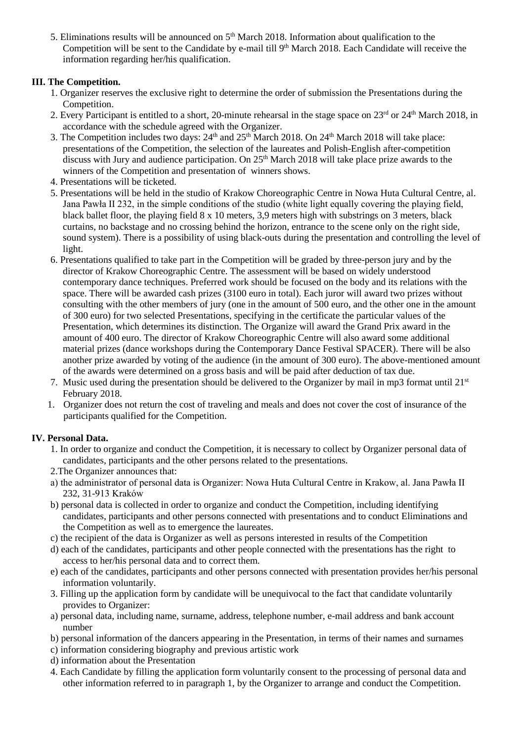5. Eliminations results will be announced on  $5<sup>th</sup>$  March 2018. Information about qualification to the Competition will be sent to the Candidate by e-mail till 9<sup>th</sup> March 2018. Each Candidate will receive the information regarding her/his qualification.

# **III. The Competition.**

- 1. Organizer reserves the exclusive right to determine the order of submission the Presentations during the Competition.
- 2. Every Participant is entitled to a short, 20-minute rehearsal in the stage space on  $23^{rd}$  or  $24^{th}$  March 2018, in accordance with the schedule agreed with the Organizer.
- 3. The Competition includes two days:  $24<sup>th</sup>$  and  $25<sup>th</sup>$  March  $2018$ . On  $24<sup>th</sup>$  March  $2018$  will take place: presentations of the Competition, the selection of the laureates and Polish-English after-competition discuss with Jury and audience participation. On 25<sup>th</sup> March 2018 will take place prize awards to the winners of the Competition and presentation of winners shows.
- 4. Presentations will be ticketed.
- 5. Presentations will be held in the studio of Krakow Choreographic Centre in Nowa Huta Cultural Centre, al. Jana Pawła II 232, in the simple conditions of the studio (white light equally covering the playing field, black ballet floor, the playing field 8 x 10 meters, 3,9 meters high with substrings on 3 meters, black curtains, no backstage and no crossing behind the horizon, entrance to the scene only on the right side, sound system). There is a possibility of using black-outs during the presentation and controlling the level of light.
- 6. Presentations qualified to take part in the Competition will be graded by three-person jury and by the director of Krakow Choreographic Centre. The assessment will be based on widely understood contemporary dance techniques. Preferred work should be focused on the body and its relations with the space. There will be awarded cash prizes (3100 euro in total). Each juror will award two prizes without consulting with the other members of jury (one in the amount of 500 euro, and the other one in the amount of 300 euro) for two selected Presentations, specifying in the certificate the particular values of the Presentation, which determines its distinction. The Organize will award the Grand Prix award in the amount of 400 euro. The director of Krakow Choreographic Centre will also award some additional material prizes (dance workshops during the Contemporary Dance Festival SPACER). There will be also another prize awarded by voting of the audience (in the amount of 300 euro). The above-mentioned amount of the awards were determined on a gross basis and will be paid after deduction of tax due.
- 7. Music used during the presentation should be delivered to the Organizer by mail in mp3 format until  $21<sup>st</sup>$ February 2018.
- 1. Organizer does not return the cost of traveling and meals and does not cover the cost of insurance of the participants qualified for the Competition.

## **IV. Personal Data.**

- 1. In order to organize and conduct the Competition, it is necessary to collect by Organizer personal data of candidates, participants and the other persons related to the presentations.
- 2.The Organizer announces that:
- a) the administrator of personal data is Organizer: Nowa Huta Cultural Centre in Krakow, al. Jana Pawła II 232, 31-913 Kraków
- b) personal data is collected in order to organize and conduct the Competition, including identifying candidates, participants and other persons connected with presentations and to conduct Eliminations and the Competition as well as to emergence the laureates.
- c) the recipient of the data is Organizer as well as persons interested in results of the Competition
- d) each of the candidates, participants and other people connected with the presentations has the right to access to her/his personal data and to correct them.
- e) each of the candidates, participants and other persons connected with presentation provides her/his personal information voluntarily.
- 3. Filling up the application form by candidate will be unequivocal to the fact that candidate voluntarily provides to Organizer:
- a) personal data, including name, surname, address, telephone number, e-mail address and bank account number
- b) personal information of the dancers appearing in the Presentation, in terms of their names and surnames
- c) information considering biography and previous artistic work
- d) information about the Presentation
- 4. Each Candidate by filling the application form voluntarily consent to the processing of personal data and other information referred to in paragraph 1, by the Organizer to arrange and conduct the Competition.